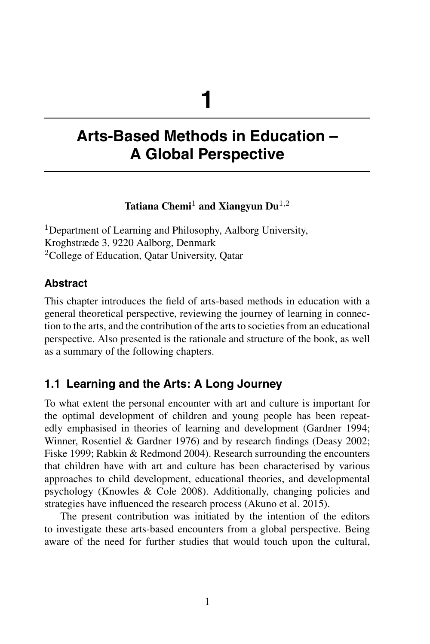# **1**

# **Arts-Based Methods in Education – A Global Perspective**

# **Tatiana Chemi**<sup>1</sup> **and Xiangyun Du**1,<sup>2</sup>

<sup>1</sup>Department of Learning and Philosophy, Aalborg University, Kroghstræde 3, 9220 Aalborg, Denmark <sup>2</sup>College of Education, Qatar University, Qatar

# **Abstract**

This chapter introduces the field of arts-based methods in education with a general theoretical perspective, reviewing the journey of learning in connection to the arts, and the contribution of the arts to societies from an educational perspective. Also presented is the rationale and structure of the book, as well as a summary of the following chapters.

# **1.1 Learning and the Arts: A Long Journey**

To what extent the personal encounter with art and culture is important for the optimal development of children and young people has been repeatedly emphasised in theories of learning and development (Gardner 1994; Winner, Rosentiel & Gardner 1976) and by research findings (Deasy 2002; Fiske 1999; Rabkin & Redmond 2004). Research surrounding the encounters that children have with art and culture has been characterised by various approaches to child development, educational theories, and developmental psychology (Knowles & Cole 2008). Additionally, changing policies and strategies have influenced the research process (Akuno et al. 2015).

The present contribution was initiated by the intention of the editors to investigate these arts-based encounters from a global perspective. Being aware of the need for further studies that would touch upon the cultural,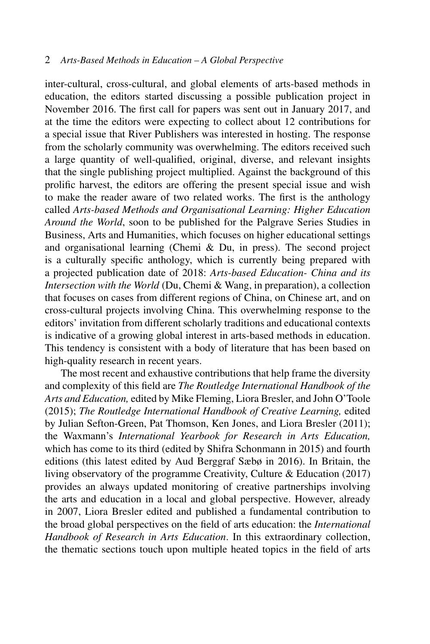inter-cultural, cross-cultural, and global elements of arts-based methods in education, the editors started discussing a possible publication project in November 2016. The first call for papers was sent out in January 2017, and at the time the editors were expecting to collect about 12 contributions for a special issue that River Publishers was interested in hosting. The response from the scholarly community was overwhelming. The editors received such a large quantity of well-qualified, original, diverse, and relevant insights that the single publishing project multiplied. Against the background of this prolific harvest, the editors are offering the present special issue and wish to make the reader aware of two related works. The first is the anthology called *Arts-based Methods and Organisational Learning: Higher Education Around the World*, soon to be published for the Palgrave Series Studies in Business, Arts and Humanities, which focuses on higher educational settings and organisational learning (Chemi & Du, in press). The second project is a culturally specific anthology, which is currently being prepared with a projected publication date of 2018: *Arts-based Education- China and its Intersection with the World* (Du, Chemi & Wang, in preparation), a collection that focuses on cases from different regions of China, on Chinese art, and on cross-cultural projects involving China. This overwhelming response to the editors' invitation from different scholarly traditions and educational contexts is indicative of a growing global interest in arts-based methods in education. This tendency is consistent with a body of literature that has been based on high-quality research in recent years.

The most recent and exhaustive contributions that help frame the diversity and complexity of this field are *The Routledge International Handbook of the Arts and Education,* edited by Mike Fleming, Liora Bresler, and John O'Toole (2015); *The Routledge International Handbook of Creative Learning,* edited by Julian Sefton-Green, Pat Thomson, Ken Jones, and Liora Bresler (2011); the Waxmann's *International Yearbook for Research in Arts Education,* which has come to its third (edited by Shifra Schonmann in 2015) and fourth editions (this latest edited by Aud Berggraf Sæbø in 2016). In Britain, the living observatory of the programme Creativity, Culture & Education (2017) provides an always updated monitoring of creative partnerships involving the arts and education in a local and global perspective. However, already in 2007, Liora Bresler edited and published a fundamental contribution to the broad global perspectives on the field of arts education: the *International Handbook of Research in Arts Education*. In this extraordinary collection, the thematic sections touch upon multiple heated topics in the field of arts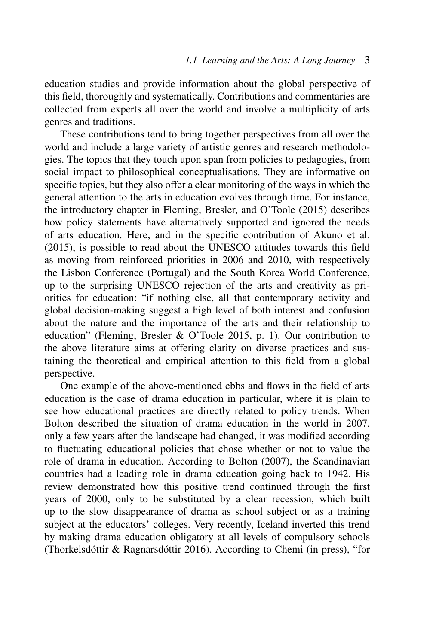education studies and provide information about the global perspective of this field, thoroughly and systematically. Contributions and commentaries are collected from experts all over the world and involve a multiplicity of arts genres and traditions.

These contributions tend to bring together perspectives from all over the world and include a large variety of artistic genres and research methodologies. The topics that they touch upon span from policies to pedagogies, from social impact to philosophical conceptualisations. They are informative on specific topics, but they also offer a clear monitoring of the ways in which the general attention to the arts in education evolves through time. For instance, the introductory chapter in Fleming, Bresler, and O'Toole (2015) describes how policy statements have alternatively supported and ignored the needs of arts education. Here, and in the specific contribution of Akuno et al. (2015), is possible to read about the UNESCO attitudes towards this field as moving from reinforced priorities in 2006 and 2010, with respectively the Lisbon Conference (Portugal) and the South Korea World Conference, up to the surprising UNESCO rejection of the arts and creativity as priorities for education: "if nothing else, all that contemporary activity and global decision-making suggest a high level of both interest and confusion about the nature and the importance of the arts and their relationship to education" (Fleming, Bresler & O'Toole 2015, p. 1). Our contribution to the above literature aims at offering clarity on diverse practices and sustaining the theoretical and empirical attention to this field from a global perspective.

One example of the above-mentioned ebbs and flows in the field of arts education is the case of drama education in particular, where it is plain to see how educational practices are directly related to policy trends. When Bolton described the situation of drama education in the world in 2007, only a few years after the landscape had changed, it was modified according to fluctuating educational policies that chose whether or not to value the role of drama in education. According to Bolton (2007), the Scandinavian countries had a leading role in drama education going back to 1942. His review demonstrated how this positive trend continued through the first years of 2000, only to be substituted by a clear recession, which built up to the slow disappearance of drama as school subject or as a training subject at the educators' colleges. Very recently, Iceland inverted this trend by making drama education obligatory at all levels of compulsory schools (Thorkelsdóttir & Ragnarsdóttir 2016). According to Chemi (in press), "for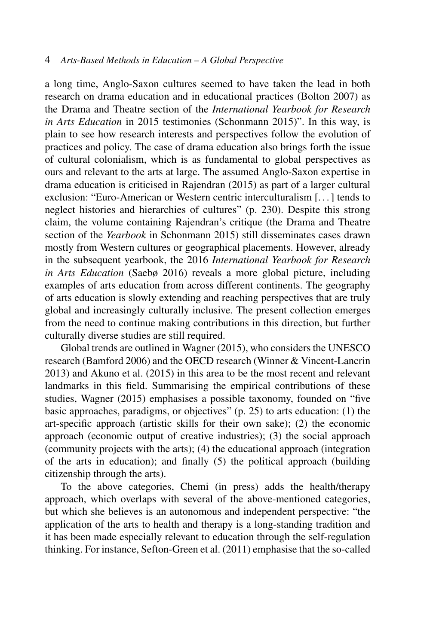a long time, Anglo-Saxon cultures seemed to have taken the lead in both research on drama education and in educational practices (Bolton 2007) as the Drama and Theatre section of the *International Yearbook for Research in Arts Education* in 2015 testimonies (Schonmann 2015)". In this way, is plain to see how research interests and perspectives follow the evolution of practices and policy. The case of drama education also brings forth the issue of cultural colonialism, which is as fundamental to global perspectives as ours and relevant to the arts at large. The assumed Anglo-Saxon expertise in drama education is criticised in Rajendran (2015) as part of a larger cultural exclusion: "Euro-American or Western centric interculturalism [. . . ] tends to neglect histories and hierarchies of cultures" (p. 230). Despite this strong claim, the volume containing Rajendran's critique (the Drama and Theatre section of the *Yearbook* in Schonmann 2015) still disseminates cases drawn mostly from Western cultures or geographical placements. However, already in the subsequent yearbook, the 2016 *International Yearbook for Research in Arts Education* (Saebø 2016) reveals a more global picture, including examples of arts education from across different continents. The geography of arts education is slowly extending and reaching perspectives that are truly global and increasingly culturally inclusive. The present collection emerges from the need to continue making contributions in this direction, but further culturally diverse studies are still required.

Global trends are outlined in Wagner (2015), who considers the UNESCO research (Bamford 2006) and the OECD research (Winner & Vincent-Lancrin 2013) and Akuno et al. (2015) in this area to be the most recent and relevant landmarks in this field. Summarising the empirical contributions of these studies, Wagner (2015) emphasises a possible taxonomy, founded on "five basic approaches, paradigms, or objectives" (p. 25) to arts education: (1) the art-specific approach (artistic skills for their own sake); (2) the economic approach (economic output of creative industries); (3) the social approach (community projects with the arts); (4) the educational approach (integration of the arts in education); and finally (5) the political approach (building citizenship through the arts).

To the above categories, Chemi (in press) adds the health/therapy approach, which overlaps with several of the above-mentioned categories, but which she believes is an autonomous and independent perspective: "the application of the arts to health and therapy is a long-standing tradition and it has been made especially relevant to education through the self-regulation thinking. For instance, Sefton-Green et al. (2011) emphasise that the so-called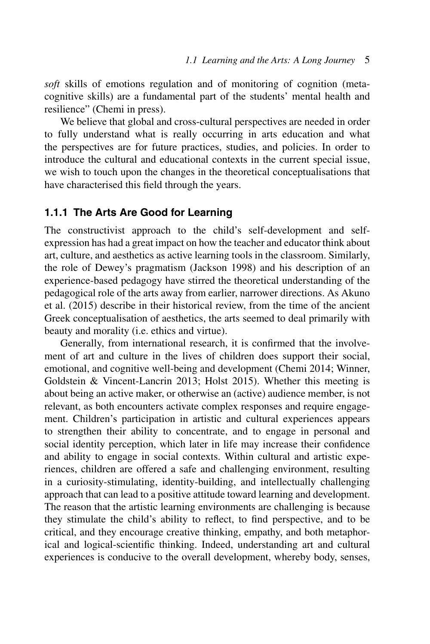*soft* skills of emotions regulation and of monitoring of cognition (metacognitive skills) are a fundamental part of the students' mental health and resilience" (Chemi in press).

We believe that global and cross-cultural perspectives are needed in order to fully understand what is really occurring in arts education and what the perspectives are for future practices, studies, and policies. In order to introduce the cultural and educational contexts in the current special issue, we wish to touch upon the changes in the theoretical conceptualisations that have characterised this field through the years.

#### **1.1.1 The Arts Are Good for Learning**

The constructivist approach to the child's self-development and selfexpression has had a great impact on how the teacher and educator think about art, culture, and aesthetics as active learning tools in the classroom. Similarly, the role of Dewey's pragmatism (Jackson 1998) and his description of an experience-based pedagogy have stirred the theoretical understanding of the pedagogical role of the arts away from earlier, narrower directions. As Akuno et al. (2015) describe in their historical review, from the time of the ancient Greek conceptualisation of aesthetics, the arts seemed to deal primarily with beauty and morality (i.e. ethics and virtue).

Generally, from international research, it is confirmed that the involvement of art and culture in the lives of children does support their social, emotional, and cognitive well-being and development (Chemi 2014; Winner, Goldstein & Vincent-Lancrin 2013; Holst 2015). Whether this meeting is about being an active maker, or otherwise an (active) audience member, is not relevant, as both encounters activate complex responses and require engagement. Children's participation in artistic and cultural experiences appears to strengthen their ability to concentrate, and to engage in personal and social identity perception, which later in life may increase their confidence and ability to engage in social contexts. Within cultural and artistic experiences, children are offered a safe and challenging environment, resulting in a curiosity-stimulating, identity-building, and intellectually challenging approach that can lead to a positive attitude toward learning and development. The reason that the artistic learning environments are challenging is because they stimulate the child's ability to reflect, to find perspective, and to be critical, and they encourage creative thinking, empathy, and both metaphorical and logical-scientific thinking. Indeed, understanding art and cultural experiences is conducive to the overall development, whereby body, senses,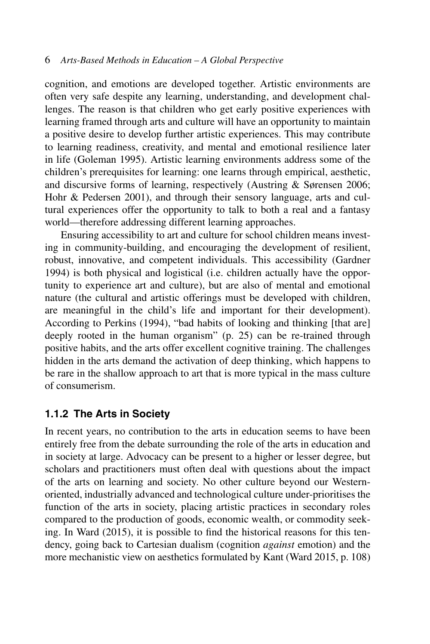cognition, and emotions are developed together. Artistic environments are often very safe despite any learning, understanding, and development challenges. The reason is that children who get early positive experiences with learning framed through arts and culture will have an opportunity to maintain a positive desire to develop further artistic experiences. This may contribute to learning readiness, creativity, and mental and emotional resilience later in life (Goleman 1995). Artistic learning environments address some of the children's prerequisites for learning: one learns through empirical, aesthetic, and discursive forms of learning, respectively (Austring & Sørensen 2006; Hohr & Pedersen 2001), and through their sensory language, arts and cultural experiences offer the opportunity to talk to both a real and a fantasy world—therefore addressing different learning approaches.

Ensuring accessibility to art and culture for school children means investing in community-building, and encouraging the development of resilient, robust, innovative, and competent individuals. This accessibility (Gardner 1994) is both physical and logistical (i.e. children actually have the opportunity to experience art and culture), but are also of mental and emotional nature (the cultural and artistic offerings must be developed with children, are meaningful in the child's life and important for their development). According to Perkins (1994), "bad habits of looking and thinking [that are] deeply rooted in the human organism" (p. 25) can be re-trained through positive habits, and the arts offer excellent cognitive training. The challenges hidden in the arts demand the activation of deep thinking, which happens to be rare in the shallow approach to art that is more typical in the mass culture of consumerism.

### **1.1.2 The Arts in Society**

In recent years, no contribution to the arts in education seems to have been entirely free from the debate surrounding the role of the arts in education and in society at large. Advocacy can be present to a higher or lesser degree, but scholars and practitioners must often deal with questions about the impact of the arts on learning and society. No other culture beyond our Westernoriented, industrially advanced and technological culture under-prioritises the function of the arts in society, placing artistic practices in secondary roles compared to the production of goods, economic wealth, or commodity seeking. In Ward (2015), it is possible to find the historical reasons for this tendency, going back to Cartesian dualism (cognition *against* emotion) and the more mechanistic view on aesthetics formulated by Kant (Ward 2015, p. 108)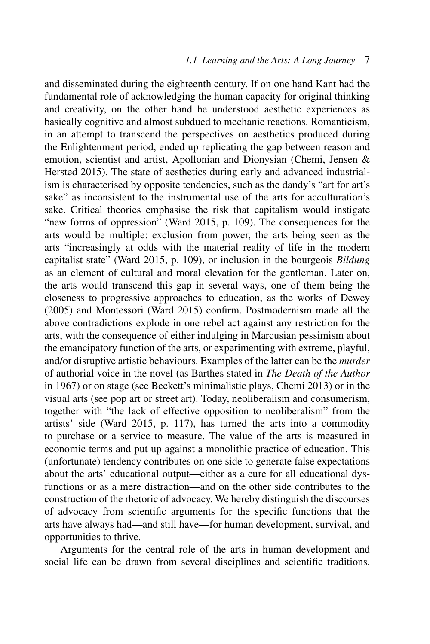and disseminated during the eighteenth century. If on one hand Kant had the fundamental role of acknowledging the human capacity for original thinking and creativity, on the other hand he understood aesthetic experiences as basically cognitive and almost subdued to mechanic reactions. Romanticism, in an attempt to transcend the perspectives on aesthetics produced during the Enlightenment period, ended up replicating the gap between reason and emotion, scientist and artist, Apollonian and Dionysian (Chemi, Jensen & Hersted 2015). The state of aesthetics during early and advanced industrialism is characterised by opposite tendencies, such as the dandy's "art for art's sake" as inconsistent to the instrumental use of the arts for acculturation's sake. Critical theories emphasise the risk that capitalism would instigate "new forms of oppression" (Ward 2015, p. 109). The consequences for the arts would be multiple: exclusion from power, the arts being seen as the arts "increasingly at odds with the material reality of life in the modern capitalist state" (Ward 2015, p. 109), or inclusion in the bourgeois *Bildung* as an element of cultural and moral elevation for the gentleman. Later on, the arts would transcend this gap in several ways, one of them being the closeness to progressive approaches to education, as the works of Dewey (2005) and Montessori (Ward 2015) confirm. Postmodernism made all the above contradictions explode in one rebel act against any restriction for the arts, with the consequence of either indulging in Marcusian pessimism about the emancipatory function of the arts, or experimenting with extreme, playful, and/or disruptive artistic behaviours. Examples of the latter can be the *murder* of authorial voice in the novel (as Barthes stated in *The Death of the Author* in 1967) or on stage (see Beckett's minimalistic plays, Chemi 2013) or in the visual arts (see pop art or street art). Today, neoliberalism and consumerism, together with "the lack of effective opposition to neoliberalism" from the artists' side (Ward 2015, p. 117), has turned the arts into a commodity to purchase or a service to measure. The value of the arts is measured in economic terms and put up against a monolithic practice of education. This (unfortunate) tendency contributes on one side to generate false expectations about the arts' educational output—either as a cure for all educational dysfunctions or as a mere distraction—and on the other side contributes to the construction of the rhetoric of advocacy. We hereby distinguish the discourses of advocacy from scientific arguments for the specific functions that the arts have always had—and still have—for human development, survival, and opportunities to thrive.

Arguments for the central role of the arts in human development and social life can be drawn from several disciplines and scientific traditions.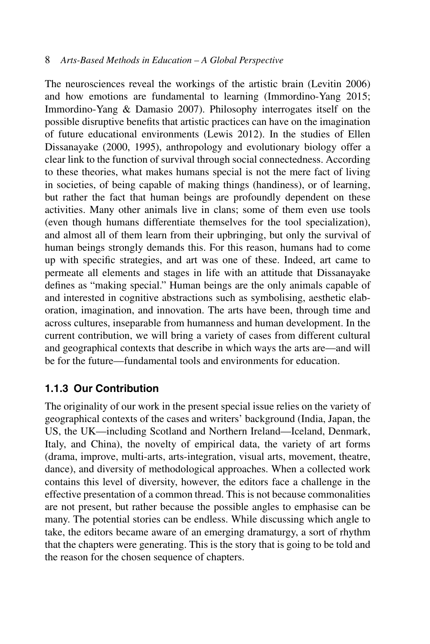The neurosciences reveal the workings of the artistic brain (Levitin 2006) and how emotions are fundamental to learning (Immordino-Yang 2015; Immordino-Yang & Damasio 2007). Philosophy interrogates itself on the possible disruptive benefits that artistic practices can have on the imagination of future educational environments (Lewis 2012). In the studies of Ellen Dissanayake (2000, 1995), anthropology and evolutionary biology offer a clear link to the function of survival through social connectedness. According to these theories, what makes humans special is not the mere fact of living in societies, of being capable of making things (handiness), or of learning, but rather the fact that human beings are profoundly dependent on these activities. Many other animals live in clans; some of them even use tools (even though humans differentiate themselves for the tool specialization), and almost all of them learn from their upbringing, but only the survival of human beings strongly demands this. For this reason, humans had to come up with specific strategies, and art was one of these. Indeed, art came to permeate all elements and stages in life with an attitude that Dissanayake defines as "making special." Human beings are the only animals capable of and interested in cognitive abstractions such as symbolising, aesthetic elaboration, imagination, and innovation. The arts have been, through time and across cultures, inseparable from humanness and human development. In the current contribution, we will bring a variety of cases from different cultural and geographical contexts that describe in which ways the arts are—and will be for the future—fundamental tools and environments for education.

# **1.1.3 Our Contribution**

The originality of our work in the present special issue relies on the variety of geographical contexts of the cases and writers' background (India, Japan, the US, the UK—including Scotland and Northern Ireland—Iceland, Denmark, Italy, and China), the novelty of empirical data, the variety of art forms (drama, improve, multi-arts, arts-integration, visual arts, movement, theatre, dance), and diversity of methodological approaches. When a collected work contains this level of diversity, however, the editors face a challenge in the effective presentation of a common thread. This is not because commonalities are not present, but rather because the possible angles to emphasise can be many. The potential stories can be endless. While discussing which angle to take, the editors became aware of an emerging dramaturgy, a sort of rhythm that the chapters were generating. This is the story that is going to be told and the reason for the chosen sequence of chapters.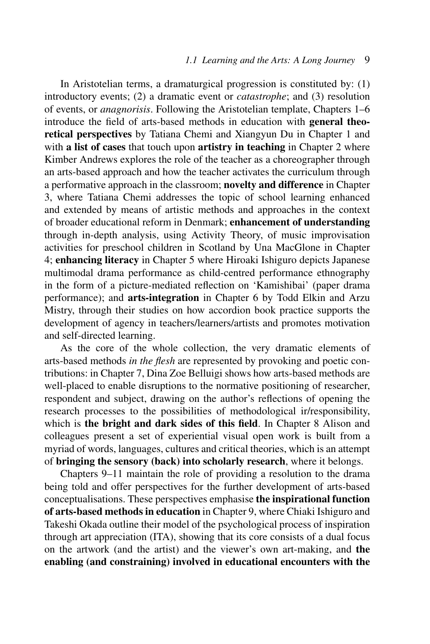In Aristotelian terms, a dramaturgical progression is constituted by: (1) introductory events; (2) a dramatic event or *catastrophe*; and (3) resolution of events, or *anagnorisis*. Following the Aristotelian template, Chapters 1–6 introduce the field of arts-based methods in education with **general theoretical perspectives** by Tatiana Chemi and Xiangyun Du in Chapter 1 and with **a list of cases** that touch upon **artistry in teaching** in Chapter 2 where Kimber Andrews explores the role of the teacher as a choreographer through an arts-based approach and how the teacher activates the curriculum through a performative approach in the classroom; **novelty and difference** in Chapter 3, where Tatiana Chemi addresses the topic of school learning enhanced and extended by means of artistic methods and approaches in the context of broader educational reform in Denmark; **enhancement of understanding** through in-depth analysis, using Activity Theory, of music improvisation activities for preschool children in Scotland by Una MacGlone in Chapter 4; **enhancing literacy** in Chapter 5 where Hiroaki Ishiguro depicts Japanese multimodal drama performance as child-centred performance ethnography in the form of a picture-mediated reflection on 'Kamishibai' (paper drama performance); and **arts-integration** in Chapter 6 by Todd Elkin and Arzu Mistry, through their studies on how accordion book practice supports the development of agency in teachers/learners/artists and promotes motivation and self-directed learning.

As the core of the whole collection, the very dramatic elements of arts-based methods *in the flesh* are represented by provoking and poetic contributions: in Chapter 7, Dina Zoe Belluigi shows how arts-based methods are well-placed to enable disruptions to the normative positioning of researcher, respondent and subject, drawing on the author's reflections of opening the research processes to the possibilities of methodological ir/responsibility, which is **the bright and dark sides of this field**. In Chapter 8 Alison and colleagues present a set of experiential visual open work is built from a myriad of words, languages, cultures and critical theories, which is an attempt of **bringing the sensory (back) into scholarly research**, where it belongs.

Chapters 9–11 maintain the role of providing a resolution to the drama being told and offer perspectives for the further development of arts-based conceptualisations. These perspectives emphasise **the inspirational function of arts-based methods in education** in Chapter 9, where Chiaki Ishiguro and Takeshi Okada outline their model of the psychological process of inspiration through art appreciation (ITA), showing that its core consists of a dual focus on the artwork (and the artist) and the viewer's own art-making, and **the enabling (and constraining) involved in educational encounters with the**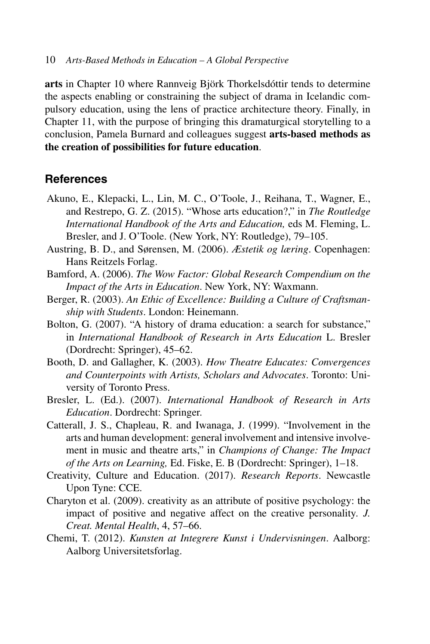**arts** in Chapter 10 where Rannveig Björk Thorkelsdóttir tends to determine the aspects enabling or constraining the subject of drama in Icelandic compulsory education, using the lens of practice architecture theory. Finally, in Chapter 11, with the purpose of bringing this dramaturgical storytelling to a conclusion, Pamela Burnard and colleagues suggest **arts-based methods as the creation of possibilities for future education**.

## **References**

- Akuno, E., Klepacki, L., Lin, M. C., O'Toole, J., Reihana, T., Wagner, E., and Restrepo, G. Z. (2015). "Whose arts education?," in *The Routledge International Handbook of the Arts and Education,* eds M. Fleming, L. Bresler, and J. O'Toole. (New York, NY: Routledge), 79–105.
- Austring, B. D., and Sørensen, M. (2006). *Æstetik og læring*. Copenhagen: Hans Reitzels Forlag.
- Bamford, A. (2006). *The Wow Factor: Global Research Compendium on the Impact of the Arts in Education*. New York, NY: Waxmann.
- Berger, R. (2003). *An Ethic of Excellence: Building a Culture of Craftsmanship with Students*. London: Heinemann.
- Bolton, G. (2007). "A history of drama education: a search for substance," in *International Handbook of Research in Arts Education* L. Bresler (Dordrecht: Springer), 45–62.
- Booth, D. and Gallagher, K. (2003). *How Theatre Educates: Convergences and Counterpoints with Artists, Scholars and Advocates*. Toronto: University of Toronto Press.
- Bresler, L. (Ed.). (2007). *International Handbook of Research in Arts Education*. Dordrecht: Springer.
- Catterall, J. S., Chapleau, R. and Iwanaga, J. (1999). "Involvement in the arts and human development: general involvement and intensive involvement in music and theatre arts," in *Champions of Change: The Impact of the Arts on Learning,* Ed. Fiske, E. B (Dordrecht: Springer), 1–18.
- Creativity, Culture and Education. (2017). *Research Reports*. Newcastle Upon Tyne: CCE.
- Charyton et al. (2009). creativity as an attribute of positive psychology: the impact of positive and negative affect on the creative personality*. J. Creat. Mental Health*, 4, 57–66.
- Chemi, T. (2012). *Kunsten at Integrere Kunst i Undervisningen*. Aalborg: Aalborg Universitetsforlag.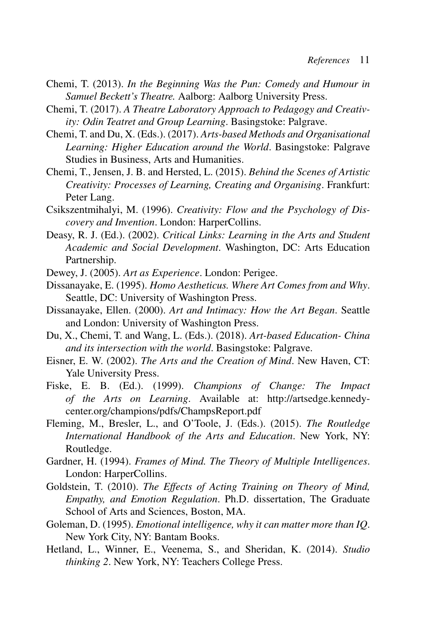- Chemi, T. (2013). *In the Beginning Was the Pun: Comedy and Humour in Samuel Beckett's Theatre.* Aalborg: Aalborg University Press.
- Chemi, T. (2017). *A Theatre Laboratory Approach to Pedagogy and Creativity: Odin Teatret and Group Learning*. Basingstoke: Palgrave.
- Chemi, T. and Du, X. (Eds.). (2017). *Arts-based Methods and Organisational Learning: Higher Education around the World*. Basingstoke: Palgrave Studies in Business, Arts and Humanities.
- Chemi, T., Jensen, J. B. and Hersted, L. (2015). *Behind the Scenes of Artistic Creativity: Processes of Learning, Creating and Organising*. Frankfurt: Peter Lang.
- Csikszentmihalyi, M. (1996). *Creativity: Flow and the Psychology of Discovery and Invention*. London: HarperCollins.
- Deasy, R. J. (Ed.). (2002). *Critical Links: Learning in the Arts and Student Academic and Social Development*. Washington, DC: Arts Education Partnership.
- Dewey, J. (2005). *Art as Experience*. London: Perigee.
- Dissanayake, E. (1995). *Homo Aestheticus. Where Art Comes from and Why*. Seattle, DC: University of Washington Press.
- Dissanayake, Ellen. (2000). *Art and Intimacy: How the Art Began*. Seattle and London: University of Washington Press.
- Du, X., Chemi, T. and Wang, L. (Eds.). (2018). *Art-based Education- China and its intersection with the world*. Basingstoke: Palgrave.
- Eisner, E. W. (2002). *The Arts and the Creation of Mind*. New Haven, CT: Yale University Press.
- Fiske, E. B. (Ed.). (1999). *Champions of Change: The Impact of the Arts on Learning*. Available at: http://artsedge.kennedycenter.org/champions/pdfs/ChampsReport.pdf
- Fleming, M., Bresler, L., and O'Toole, J. (Eds.). (2015). *The Routledge International Handbook of the Arts and Education*. New York, NY: Routledge.
- Gardner, H. (1994). *Frames of Mind. The Theory of Multiple Intelligences*. London: HarperCollins.
- Goldstein, T. (2010). *The Effects of Acting Training on Theory of Mind, Empathy, and Emotion Regulation*. Ph.D. dissertation, The Graduate School of Arts and Sciences, Boston, MA.
- Goleman, D. (1995). *Emotional intelligence, why it can matter more than IQ*. New York City, NY: Bantam Books.
- Hetland, L., Winner, E., Veenema, S., and Sheridan, K. (2014). *Studio thinking 2*. New York, NY: Teachers College Press.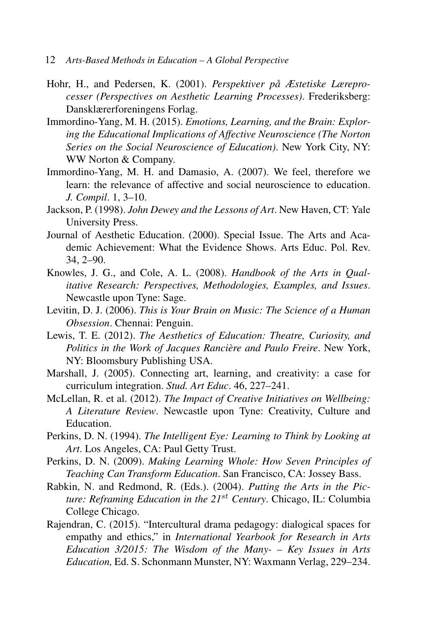- 12 *Arts-Based Methods in Education A Global Perspective*
- Hohr, H., and Pedersen, K. (2001). *Perspektiver på Æstetiske Læreprocesser (Perspectives on Aesthetic Learning Processes)*. Frederiksberg: Dansklærerforeningens Forlag.
- Immordino-Yang, M. H. (2015). *Emotions, Learning, and the Brain: Exploring the Educational Implications of Affective Neuroscience (The Norton Series on the Social Neuroscience of Education)*. New York City, NY: WW Norton & Company.
- Immordino-Yang, M. H. and Damasio, A. (2007). We feel, therefore we learn: the relevance of affective and social neuroscience to education. *J. Compil*. 1, 3–10.
- Jackson, P. (1998). *John Dewey and the Lessons of Art*. New Haven, CT: Yale University Press.
- Journal of Aesthetic Education. (2000). Special Issue. The Arts and Academic Achievement: What the Evidence Shows. Arts Educ. Pol. Rev. 34, 2–90.
- Knowles, J. G., and Cole, A. L. (2008). *Handbook of the Arts in Qualitative Research: Perspectives, Methodologies, Examples, and Issues*. Newcastle upon Tyne: Sage.
- Levitin, D. J. (2006). *This is Your Brain on Music: The Science of a Human Obsession*. Chennai: Penguin.
- Lewis, T. E. (2012). *The Aesthetics of Education: Theatre, Curiosity, and Politics in the Work of Jacques Ranciere and Paulo Freire `* . New York, NY: Bloomsbury Publishing USA.
- Marshall, J. (2005). Connecting art, learning, and creativity: a case for curriculum integration. *Stud. Art Educ*. 46, 227–241.
- McLellan, R. et al. (2012). *The Impact of Creative Initiatives on Wellbeing: A Literature Review*. Newcastle upon Tyne: Creativity, Culture and Education.
- Perkins, D. N. (1994). *The Intelligent Eye: Learning to Think by Looking at Art*. Los Angeles, CA: Paul Getty Trust.
- Perkins, D. N. (2009). *Making Learning Whole: How Seven Principles of Teaching Can Transform Education*. San Francisco, CA: Jossey Bass.
- Rabkin, N. and Redmond, R. (Eds.). (2004). *Putting the Arts in the Picture: Reframing Education in the 21*st *Century*. Chicago, IL: Columbia College Chicago.
- Rajendran, C. (2015). "Intercultural drama pedagogy: dialogical spaces for empathy and ethics," in *International Yearbook for Research in Arts Education 3/2015: The Wisdom of the Many- – Key Issues in Arts Education,* Ed. S. Schonmann Munster, NY: Waxmann Verlag, 229–234.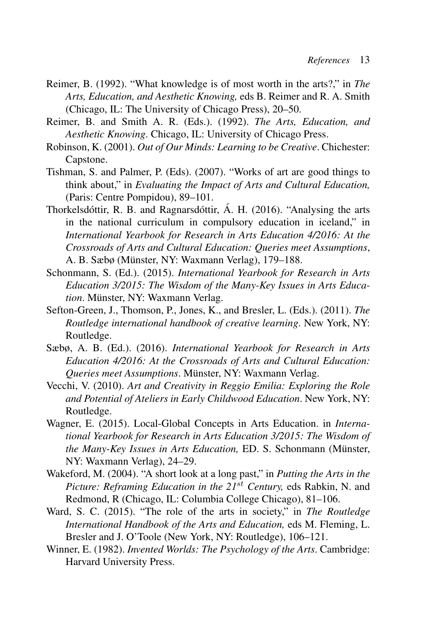- Reimer, B. (1992). "What knowledge is of most worth in the arts?," in *The Arts, Education, and Aesthetic Knowing,* eds B. Reimer and R. A. Smith (Chicago, IL: The University of Chicago Press), 20–50.
- Reimer, B. and Smith A. R. (Eds.). (1992). *The Arts, Education, and Aesthetic Knowing*. Chicago, IL: University of Chicago Press.
- Robinson, K. (2001). *Out of Our Minds: Learning to be Creative*. Chichester: Capstone.
- Tishman, S. and Palmer, P. (Eds). (2007). "Works of art are good things to think about," in *Evaluating the Impact of Arts and Cultural Education,* (Paris: Centre Pompidou), 89–101.
- Thorkelsdóttir, R. B. and Ragnarsdóttir, Á. H. (2016). "Analysing the arts in the national curriculum in compulsory education in iceland," in *International Yearbook for Research in Arts Education 4/2016: At the Crossroads of Arts and Cultural Education: Queries meet Assumptions*, A. B. Sæbø (Münster, NY: Waxmann Verlag), 179–188.
- Schonmann, S. (Ed.). (2015). *International Yearbook for Research in Arts Education 3/2015: The Wisdom of the Many-Key Issues in Arts Education*. Münster, NY: Waxmann Verlag.
- Sefton-Green, J., Thomson, P., Jones, K., and Bresler, L. (Eds.). (2011). *The Routledge international handbook of creative learning*. New York, NY: Routledge.
- Sæbø, A. B. (Ed.). (2016). *International Yearbook for Research in Arts Education 4/2016: At the Crossroads of Arts and Cultural Education: Queries meet Assumptions. Münster, NY: Waxmann Verlag.*
- Vecchi, V. (2010). *Art and Creativity in Reggio Emilia: Exploring the Role and Potential of Ateliers in Early Childwood Education*. New York, NY: Routledge.
- Wagner, E. (2015). Local-Global Concepts in Arts Education. in *International Yearbook for Research in Arts Education 3/2015: The Wisdom of the Many-Key Issues in Arts Education, ED. S. Schonmann (Münster,* NY: Waxmann Verlag), 24–29.
- Wakeford, M. (2004). "A short look at a long past," in *Putting the Arts in the Picture: Reframing Education in the 21<sup>st</sup> Century, eds Rabkin, N. and* Redmond, R (Chicago, IL: Columbia College Chicago), 81–106.
- Ward, S. C. (2015). "The role of the arts in society," in *The Routledge International Handbook of the Arts and Education,* eds M. Fleming, L. Bresler and J. O'Toole (New York, NY: Routledge), 106–121.
- Winner, E. (1982). *Invented Worlds: The Psychology of the Arts*. Cambridge: Harvard University Press.